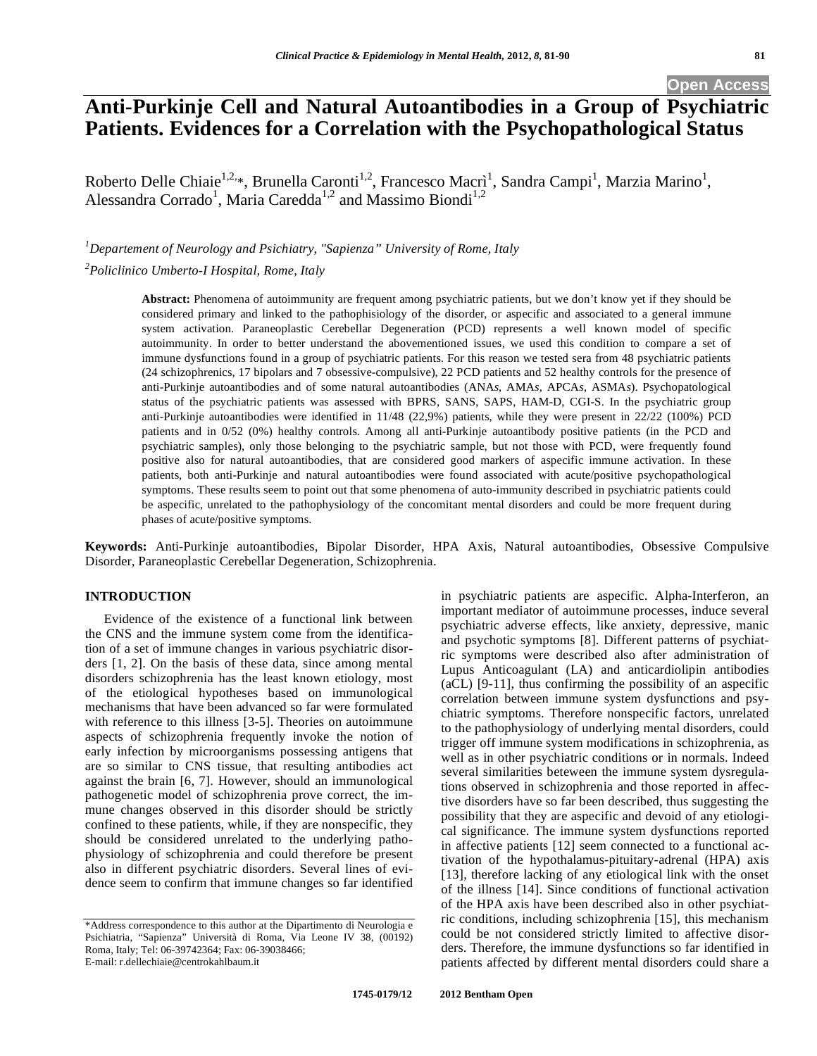# **Anti-Purkinje Cell and Natural Autoantibodies in a Group of Psychiatric Patients. Evidences for a Correlation with the Psychopathological Status**

Roberto Delle Chiaie<sup>1,2,\*</sup>, Brunella Caronti<sup>1,2</sup>, Francesco Macrì<sup>1</sup>, Sandra Campi<sup>1</sup>, Marzia Marino<sup>1</sup>, Alessandra Corrado<sup>1</sup>, Maria Caredda<sup>1,2</sup> and Massimo Biondi<sup>1,2</sup>

*1 Departement of Neurology and Psichiatry, "Sapienza" University of Rome, Italy* 

*2 Policlinico Umberto-I Hospital, Rome, Italy* 

**Abstract:** Phenomena of autoimmunity are frequent among psychiatric patients, but we don't know yet if they should be considered primary and linked to the pathophisiology of the disorder, or aspecific and associated to a general immune system activation. Paraneoplastic Cerebellar Degeneration (PCD) represents a well known model of specific autoimmunity. In order to better understand the abovementioned issues, we used this condition to compare a set of immune dysfunctions found in a group of psychiatric patients. For this reason we tested sera from 48 psychiatric patients (24 schizophrenics, 17 bipolars and 7 obsessive-compulsive), 22 PCD patients and 52 healthy controls for the presence of anti-Purkinje autoantibodies and of some natural autoantibodies (ANA*s*, AMA*s*, APCA*s*, ASMA*s*). Psychopatological status of the psychiatric patients was assessed with BPRS, SANS, SAPS, HAM-D, CGI-S. In the psychiatric group anti-Purkinje autoantibodies were identified in 11/48 (22,9%) patients, while they were present in 22/22 (100%) PCD patients and in 0/52 (0%) healthy controls. Among all anti-Purkinje autoantibody positive patients (in the PCD and psychiatric samples), only those belonging to the psychiatric sample, but not those with PCD, were frequently found positive also for natural autoantibodies, that are considered good markers of aspecific immune activation. In these patients, both anti-Purkinje and natural autoantibodies were found associated with acute/positive psychopathological symptoms. These results seem to point out that some phenomena of auto-immunity described in psychiatric patients could be aspecific, unrelated to the pathophysiology of the concomitant mental disorders and could be more frequent during phases of acute/positive symptoms.

**Keywords:** Anti-Purkinje autoantibodies, Bipolar Disorder, HPA Axis, Natural autoantibodies, Obsessive Compulsive Disorder, Paraneoplastic Cerebellar Degeneration, Schizophrenia.

# **INTRODUCTION**

Evidence of the existence of a functional link between the CNS and the immune system come from the identification of a set of immune changes in various psychiatric disorders [1, 2]. On the basis of these data, since among mental disorders schizophrenia has the least known etiology, most of the etiological hypotheses based on immunological mechanisms that have been advanced so far were formulated with reference to this illness [3-5]. Theories on autoimmune aspects of schizophrenia frequently invoke the notion of early infection by microorganisms possessing antigens that are so similar to CNS tissue, that resulting antibodies act against the brain [6, 7]. However, should an immunological pathogenetic model of schizophrenia prove correct, the immune changes observed in this disorder should be strictly confined to these patients, while, if they are nonspecific, they should be considered unrelated to the underlying pathophysiology of schizophrenia and could therefore be present also in different psychiatric disorders. Several lines of evidence seem to confirm that immune changes so far identified

in psychiatric patients are aspecific. Alpha-Interferon, an important mediator of autoimmune processes, induce several psychiatric adverse effects, like anxiety, depressive, manic and psychotic symptoms [8]. Different patterns of psychiatric symptoms were described also after administration of Lupus Anticoagulant (LA) and anticardiolipin antibodies (aCL) [9-11], thus confirming the possibility of an aspecific correlation between immune system dysfunctions and psychiatric symptoms. Therefore nonspecific factors, unrelated to the pathophysiology of underlying mental disorders, could trigger off immune system modifications in schizophrenia, as well as in other psychiatric conditions or in normals. Indeed several similarities beteween the immune system dysregulations observed in schizophrenia and those reported in affective disorders have so far been described, thus suggesting the possibility that they are aspecific and devoid of any etiological significance. The immune system dysfunctions reported in affective patients [12] seem connected to a functional activation of the hypothalamus-pituitary-adrenal (HPA) axis [13], therefore lacking of any etiological link with the onset of the illness [14]. Since conditions of functional activation of the HPA axis have been described also in other psychiatric conditions, including schizophrenia [15], this mechanism could be not considered strictly limited to affective disorders. Therefore, the immune dysfunctions so far identified in patients affected by different mental disorders could share a

<sup>\*</sup>Address correspondence to this author at the Dipartimento di Neurologia e Psichiatria, "Sapienza" Università di Roma, Via Leone IV 38, (00192) Roma, Italy; Tel: 06-39742364; Fax: 06-39038466; E-mail: r.dellechiaie@centrokahlbaum.it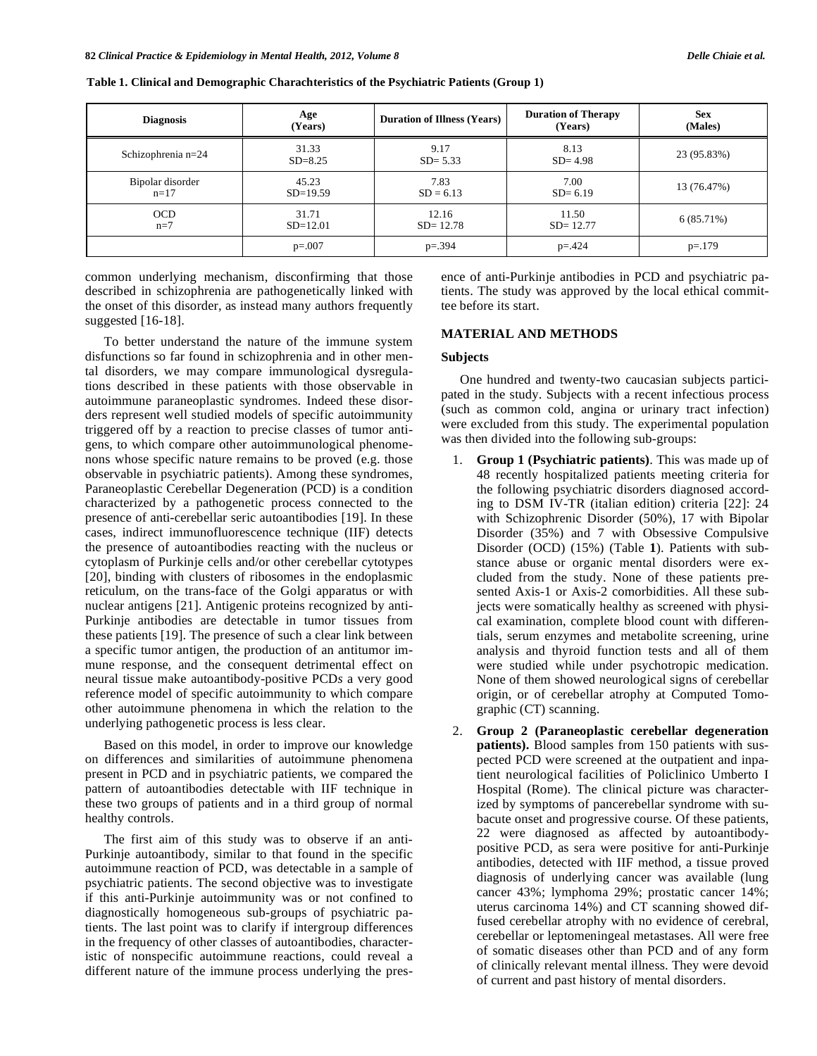| <b>Diagnosis</b>           | Age<br>(Years)       | <b>Duration of Illness (Years)</b> | <b>Duration of Therapy</b><br>(Years) | <b>Sex</b><br>(Males) |
|----------------------------|----------------------|------------------------------------|---------------------------------------|-----------------------|
| Schizophrenia $n=24$       | 31.33<br>$SD = 8.25$ | 9.17<br>$SD = 5.33$                | 8.13<br>$SD = 4.98$                   | 23 (95.83%)           |
| Bipolar disorder<br>$n=17$ | 45.23<br>$SD=19.59$  | 7.83<br>$SD = 6.13$                | 7.00<br>$SD = 6.19$                   | 13 (76.47%)           |
| <b>OCD</b><br>$n=7$        | 31.71<br>$SD=12.01$  | 12.16<br>$SD = 12.78$              | 11.50<br>$SD = 12.77$                 | $6(85.71\%)$          |
|                            | $p=.007$             | $p = 394$                          | $p = 424$                             | $p=.179$              |

**Table 1. Clinical and Demographic Charachteristics of the Psychiatric Patients (Group 1)** 

common underlying mechanism, disconfirming that those described in schizophrenia are pathogenetically linked with the onset of this disorder, as instead many authors frequently suggested [16-18].

To better understand the nature of the immune system disfunctions so far found in schizophrenia and in other mental disorders, we may compare immunological dysregulations described in these patients with those observable in autoimmune paraneoplastic syndromes. Indeed these disorders represent well studied models of specific autoimmunity triggered off by a reaction to precise classes of tumor antigens, to which compare other autoimmunological phenomenons whose specific nature remains to be proved (e.g. those observable in psychiatric patients). Among these syndromes, Paraneoplastic Cerebellar Degeneration (PCD) is a condition characterized by a pathogenetic process connected to the presence of anti-cerebellar seric autoantibodies [19]. In these cases, indirect immunofluorescence technique (IIF) detects the presence of autoantibodies reacting with the nucleus or cytoplasm of Purkinje cells and/or other cerebellar cytotypes [20], binding with clusters of ribosomes in the endoplasmic reticulum, on the trans-face of the Golgi apparatus or with nuclear antigens [21]. Antigenic proteins recognized by anti-Purkinje antibodies are detectable in tumor tissues from these patients [19]. The presence of such a clear link between a specific tumor antigen, the production of an antitumor immune response, and the consequent detrimental effect on neural tissue make autoantibody-positive PCD*s* a very good reference model of specific autoimmunity to which compare other autoimmune phenomena in which the relation to the underlying pathogenetic process is less clear.

Based on this model, in order to improve our knowledge on differences and similarities of autoimmune phenomena present in PCD and in psychiatric patients, we compared the pattern of autoantibodies detectable with IIF technique in these two groups of patients and in a third group of normal healthy controls.

The first aim of this study was to observe if an anti-Purkinje autoantibody, similar to that found in the specific autoimmune reaction of PCD, was detectable in a sample of psychiatric patients. The second objective was to investigate if this anti-Purkinje autoimmunity was or not confined to diagnostically homogeneous sub-groups of psychiatric patients. The last point was to clarify if intergroup differences in the frequency of other classes of autoantibodies, characteristic of nonspecific autoimmune reactions, could reveal a different nature of the immune process underlying the presence of anti-Purkinje antibodies in PCD and psychiatric patients. The study was approved by the local ethical committee before its start.

### **MATERIAL AND METHODS**

# **Subjects**

One hundred and twenty-two caucasian subjects participated in the study. Subjects with a recent infectious process (such as common cold, angina or urinary tract infection) were excluded from this study. The experimental population was then divided into the following sub-groups:

- 1. **Group 1 (Psychiatric patients)**. This was made up of 48 recently hospitalized patients meeting criteria for the following psychiatric disorders diagnosed according to DSM IV-TR (italian edition) criteria [22]: 24 with Schizophrenic Disorder (50%), 17 with Bipolar Disorder (35%) and 7 with Obsessive Compulsive Disorder (OCD) (15%) (Table **1**). Patients with substance abuse or organic mental disorders were excluded from the study. None of these patients presented Axis-1 or Axis-2 comorbidities. All these subjects were somatically healthy as screened with physical examination, complete blood count with differentials, serum enzymes and metabolite screening, urine analysis and thyroid function tests and all of them were studied while under psychotropic medication. None of them showed neurological signs of cerebellar origin, or of cerebellar atrophy at Computed Tomographic (CT) scanning.
- 2. **Group 2 (Paraneoplastic cerebellar degeneration patients).** Blood samples from 150 patients with suspected PCD were screened at the outpatient and inpatient neurological facilities of Policlinico Umberto I Hospital (Rome). The clinical picture was characterized by symptoms of pancerebellar syndrome with subacute onset and progressive course. Of these patients, 22 were diagnosed as affected by autoantibodypositive PCD, as sera were positive for anti-Purkinje antibodies, detected with IIF method, a tissue proved diagnosis of underlying cancer was available (lung cancer 43%; lymphoma 29%; prostatic cancer 14%; uterus carcinoma 14%) and CT scanning showed diffused cerebellar atrophy with no evidence of cerebral, cerebellar or leptomeningeal metastases. All were free of somatic diseases other than PCD and of any form of clinically relevant mental illness. They were devoid of current and past history of mental disorders.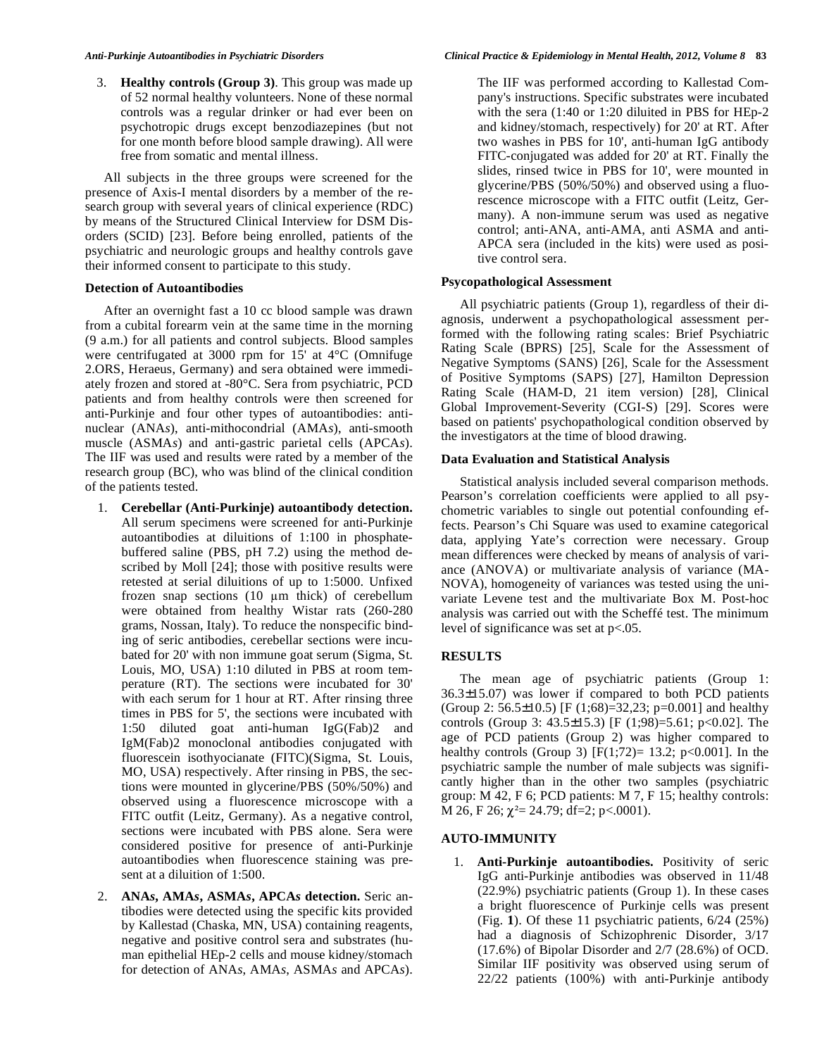3. **Healthy controls (Group 3)**. This group was made up of 52 normal healthy volunteers. None of these normal controls was a regular drinker or had ever been on psychotropic drugs except benzodiazepines (but not for one month before blood sample drawing). All were free from somatic and mental illness.

All subjects in the three groups were screened for the presence of Axis-I mental disorders by a member of the research group with several years of clinical experience (RDC) by means of the Structured Clinical Interview for DSM Disorders (SCID) [23]. Before being enrolled, patients of the psychiatric and neurologic groups and healthy controls gave their informed consent to participate to this study.

# **Detection of Autoantibodies**

After an overnight fast a 10 cc blood sample was drawn from a cubital forearm vein at the same time in the morning (9 a.m.) for all patients and control subjects. Blood samples were centrifugated at 3000 rpm for 15' at 4°C (Omnifuge 2.ORS, Heraeus, Germany) and sera obtained were immediately frozen and stored at -80°C. Sera from psychiatric, PCD patients and from healthy controls were then screened for anti-Purkinje and four other types of autoantibodies: antinuclear (ANA*s*), anti-mithocondrial (AMA*s*), anti-smooth muscle (ASMA*s*) and anti-gastric parietal cells (APCA*s*). The IIF was used and results were rated by a member of the research group (BC), who was blind of the clinical condition of the patients tested.

- 1. **Cerebellar (Anti-Purkinje) autoantibody detection.**  All serum specimens were screened for anti-Purkinje autoantibodies at diluitions of 1:100 in phosphatebuffered saline (PBS, pH 7.2) using the method described by Moll [24]; those with positive results were retested at serial diluitions of up to 1:5000. Unfixed frozen snap sections  $(10 \mu m)$  thick) of cerebellum were obtained from healthy Wistar rats (260-280 grams, Nossan, Italy). To reduce the nonspecific binding of seric antibodies, cerebellar sections were incubated for 20' with non immune goat serum (Sigma, St. Louis, MO, USA) 1:10 diluted in PBS at room temperature (RT). The sections were incubated for 30' with each serum for 1 hour at RT. After rinsing three times in PBS for 5', the sections were incubated with 1:50 diluted goat anti-human IgG(Fab)2 and IgM(Fab)2 monoclonal antibodies conjugated with fluorescein isothyocianate (FITC)(Sigma, St. Louis, MO, USA) respectively. After rinsing in PBS, the sections were mounted in glycerine/PBS (50%/50%) and observed using a fluorescence microscope with a FITC outfit (Leitz, Germany). As a negative control, sections were incubated with PBS alone. Sera were considered positive for presence of anti-Purkinje autoantibodies when fluorescence staining was present at a diluition of 1:500.
- 2. **ANA***s***, AMA***s***, ASMA***s***, APCA***s* **detection.** Seric antibodies were detected using the specific kits provided by Kallestad (Chaska, MN, USA) containing reagents, negative and positive control sera and substrates (human epithelial HEp-2 cells and mouse kidney/stomach for detection of ANA*s*, AMA*s*, ASMA*s* and APCA*s*).

The IIF was performed according to Kallestad Company's instructions. Specific substrates were incubated with the sera (1:40 or 1:20 diluited in PBS for HEp-2 and kidney/stomach, respectively) for 20' at RT. After two washes in PBS for 10', anti-human IgG antibody FITC-conjugated was added for 20' at RT. Finally the slides, rinsed twice in PBS for 10', were mounted in glycerine/PBS (50%/50%) and observed using a fluorescence microscope with a FITC outfit (Leitz, Germany). A non-immune serum was used as negative control; anti-ANA, anti-AMA, anti ASMA and anti-APCA sera (included in the kits) were used as positive control sera.

# **Psycopathological Assessment**

All psychiatric patients (Group 1), regardless of their diagnosis, underwent a psychopathological assessment performed with the following rating scales: Brief Psychiatric Rating Scale (BPRS) [25], Scale for the Assessment of Negative Symptoms (SANS) [26], Scale for the Assessment of Positive Symptoms (SAPS) [27], Hamilton Depression Rating Scale (HAM-D, 21 item version) [28], Clinical Global Improvement-Severity (CGI-S) [29]. Scores were based on patients' psychopathological condition observed by the investigators at the time of blood drawing.

# **Data Evaluation and Statistical Analysis**

Statistical analysis included several comparison methods. Pearson's correlation coefficients were applied to all psychometric variables to single out potential confounding effects. Pearson's Chi Square was used to examine categorical data, applying Yate's correction were necessary. Group mean differences were checked by means of analysis of variance (ANOVA) or multivariate analysis of variance (MA-NOVA), homogeneity of variances was tested using the univariate Levene test and the multivariate Box M. Post-hoc analysis was carried out with the Scheffé test. The minimum level of significance was set at p<.05.

# **RESULTS**

The mean age of psychiatric patients (Group 1:  $36.3\pm15.07$ ) was lower if compared to both PCD patients (Group 2:  $56.5 \pm 10.5$ ) [F (1;68)=32,23; p=0.001] and healthy controls (Group 3:  $43.5 \pm 15.3$ ) [F (1;98)=5.61; p<0.02]. The age of PCD patients (Group 2) was higher compared to healthy controls (Group 3)  $[F(1,72)=13.2; p<0.001]$ . In the psychiatric sample the number of male subjects was significantly higher than in the other two samples (psychiatric group: M 42, F 6; PCD patients: M 7, F 15; healthy controls: M 26, F 26;  $\chi^2$  = 24.79; df = 2; p < 0.0001).

# **AUTO-IMMUNITY**

1. **Anti-Purkinje autoantibodies.** Positivity of seric IgG anti-Purkinje antibodies was observed in 11/48 (22.9%) psychiatric patients (Group 1). In these cases a bright fluorescence of Purkinje cells was present (Fig. **1**). Of these 11 psychiatric patients, 6/24 (25%) had a diagnosis of Schizophrenic Disorder, 3/17 (17.6%) of Bipolar Disorder and 2/7 (28.6%) of OCD. Similar IIF positivity was observed using serum of 22/22 patients (100%) with anti-Purkinje antibody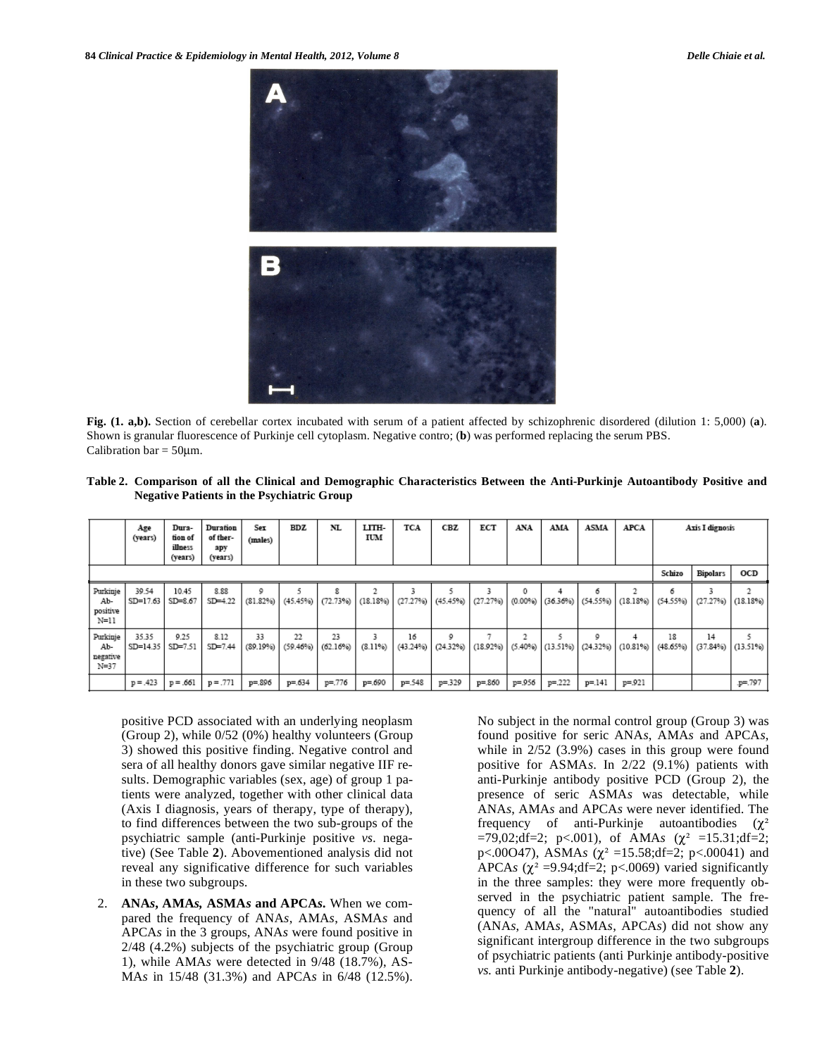

**Fig. (1. a,b).** Section of cerebellar cortex incubated with serum of a patient affected by schizophrenic disordered (dilution 1: 5,000) (**a**). Shown is granular fluorescence of Purkinje cell cytoplasm. Negative contro; (**b**) was performed replacing the serum PBS. Calibration bar  $= 50 \mu m$ .

| regauve i auents in the I sychiatric Group |                             |                                        |                                        |                  |     |                                                                      |              |                 |     |     |     |     |      |                                                            |                 |                       |  |
|--------------------------------------------|-----------------------------|----------------------------------------|----------------------------------------|------------------|-----|----------------------------------------------------------------------|--------------|-----------------|-----|-----|-----|-----|------|------------------------------------------------------------|-----------------|-----------------------|--|
|                                            | Age<br>(years)              | Dura-<br>tion of<br>illness<br>(years) | Duration<br>of ther-<br>apy<br>(years) | Sex<br>(males)   | BDZ | NL                                                                   | LITH-<br>IUM | <b>TCA</b>      | CBZ | ECT | ANA | AMA | ASMA | <b>APCA</b>                                                | Axis I dignosis |                       |  |
|                                            |                             |                                        |                                        |                  |     |                                                                      | Schizo       | <b>Bipolars</b> | OCD |     |     |     |      |                                                            |                 |                       |  |
| Purkinje<br>Ab-<br>positive<br>$3.7 - 3.3$ | 39.54<br>SD=17.63   SD=8.67 | 10.45                                  | 8.88<br>$SD=4.22$                      | ٥<br>$(81.82\%)$ |     | 8<br>(45.45%)   (72.73%)   (18.18%)   (27.27%)   (45.45%)   (27.27%) |              |                 |     |     | 0   |     | б    | $(0.00\%)$ $(36.36\%)$ $(54.55\%)$ $(18.18\%)$ $(54.55\%)$ | ۰               | $(27.27%)$ $(18.18%)$ |  |

 $16$ 

 $(43.24\%)$ 

 $p = 548$ 

9

 $(24.32%)$ 

 $p = 329$ 

 $(18.92\%)$ 

p=.860

 $\overline{2}$ 

 $(5.40\%)$ 

p=.956

5

 $(13.51%)$ 

 $p = 222$ 

9

 $(24.32%)$ 

 $p = 141$ 

 $(10.81%)$ 

 $p = 921$ 

18

 $(48.65%)$ 

 $14$ 

 $(37.84%)$ 

5

 $(13.51%)$ 

p=.797

**Table 2. Comparison of all the Clinical and Demographic Characteristics Between the Anti-Purkinje Autoantibody Positive and Negative Patients in the Psychiatric Group** 

positive PCD associated with an underlying neoplasm (Group 2), while 0/52 (0%) healthy volunteers (Group 3) showed this positive finding. Negative control and sera of all healthy donors gave similar negative IIF results. Demographic variables (sex, age) of group 1 patients were analyzed, together with other clinical data (Axis I diagnosis, years of therapy, type of therapy), to find differences between the two sub-groups of the psychiatric sample (anti-Purkinje positive *vs.* negative) (See Table **2**). Abovementioned analysis did not reveal any significative difference for such variables in these two subgroups.

 $23$ 

 $(62.16%)$ 

 $p = 776$ 

 $\overline{3}$ 

 $(8.11%)$ 

p=.690

22

 $(59.46\%)$ 

 $p = 634$ 

9.25

 $SD = 7.51$ 

 $p = .661$ 

8.12

 $SD = 7.44$ 

 $p = .771$ 

33

 $(89.19%)$ 

p=.896

Purkinje

Ab

negative  $N=37$ 

35.35

 $SD = 14.35$ 

 $p = .423$ 

2. **ANA***s***, AMA***s,* **ASMA***s* **and APCA***s.* When we compared the frequency of ANA*s*, AMA*s*, ASMA*s* and APCA*s* in the 3 groups, ANA*s* were found positive in 2/48 (4.2%) subjects of the psychiatric group (Group 1), while AMA*s* were detected in 9/48 (18.7%), AS-MA*s* in 15/48 (31.3%) and APCA*s* in 6/48 (12.5%).

No subject in the normal control group (Group 3) was found positive for seric ANA*s*, AMA*s* and APCA*s*, while in 2/52 (3.9%) cases in this group were found positive for ASMA*s*. In 2/22 (9.1%) patients with anti-Purkinje antibody positive PCD (Group 2), the presence of seric ASMA*s* was detectable, while ANA*s*, AMA*s* and APCA*s* were never identified. The frequency of anti-Purkinje autoantibodies  $(\gamma^2)$  $=79,02; df=2; p<0.01$ , of AMAs ( $\chi^2$  =15.31;df=2; p<.00047), ASMAs ( $\chi^2$  =15.58;df=2; p<.00041) and APCA*s* ( $\chi^2$  =9.94;df=2; p<.0069) varied significantly in the three samples: they were more frequently observed in the psychiatric patient sample. The frequency of all the "natural" autoantibodies studied (ANA*s*, AMA*s*, ASMA*s*, APCA*s*) did not show any significant intergroup difference in the two subgroups of psychiatric patients (anti Purkinje antibody-positive *vs.* anti Purkinje antibody-negative) (see Table **2**).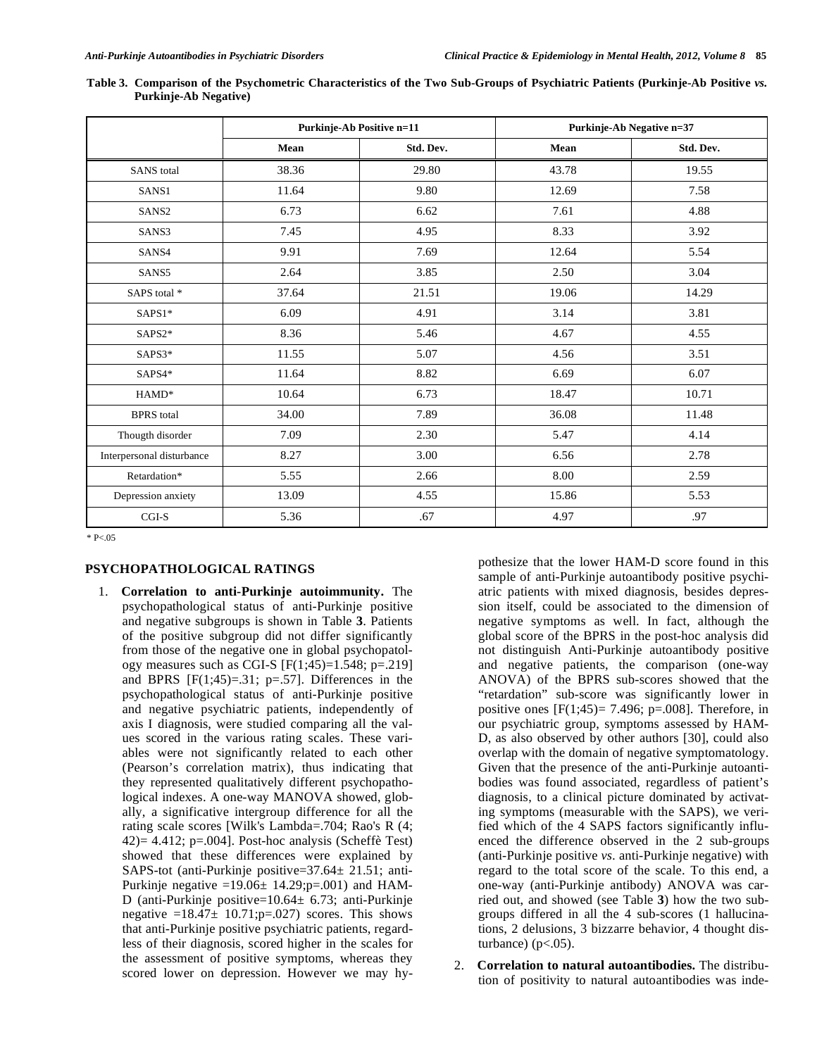|                           |       | <b>Purkinje-Ab Positive n=11</b> | Purkinje-Ab Negative n=37 |           |  |  |
|---------------------------|-------|----------------------------------|---------------------------|-----------|--|--|
|                           | Mean  | Std. Dev.                        | Mean                      | Std. Dev. |  |  |
| <b>SANS</b> total         | 38.36 | 29.80                            | 43.78                     | 19.55     |  |  |
| SANS1                     | 11.64 | 9.80                             | 12.69                     | 7.58      |  |  |
| SANS <sub>2</sub>         | 6.73  | 6.62                             | 7.61                      | 4.88      |  |  |
| SANS3                     | 7.45  | 4.95                             | 8.33                      | 3.92      |  |  |
| SANS4                     | 9.91  | 7.69                             | 12.64                     | 5.54      |  |  |
| SANS5                     | 2.64  | 3.85                             | 2.50                      | 3.04      |  |  |
| SAPS total *              | 37.64 | 21.51                            | 19.06                     | 14.29     |  |  |
| SAPS1*                    | 6.09  | 4.91                             | 3.14                      | 3.81      |  |  |
| SAPS2*                    | 8.36  | 5.46                             | 4.67                      | 4.55      |  |  |
| SAPS3*                    | 11.55 | 5.07                             | 4.56                      | 3.51      |  |  |
| SAPS4*                    | 11.64 | 8.82                             | 6.69                      | 6.07      |  |  |
| HAMD*                     | 10.64 | 6.73                             | 18.47                     | 10.71     |  |  |
| <b>BPRS</b> total         | 34.00 | 7.89                             | 36.08                     | 11.48     |  |  |
| Thougth disorder          | 7.09  | 2.30                             | 5.47                      | 4.14      |  |  |
| Interpersonal disturbance | 8.27  | 3.00                             | 6.56                      | 2.78      |  |  |
| Retardation*              | 5.55  | 2.66                             | 8.00                      | 2.59      |  |  |
| Depression anxiety        | 13.09 | 4.55                             | 15.86                     | 5.53      |  |  |
| $_{\rm CGI-S}$            | 5.36  | .67                              | 4.97                      | .97       |  |  |

**Table 3. Comparison of the Psychometric Characteristics of the Two Sub-Groups of Psychiatric Patients (Purkinje-Ab Positive** *vs.* **Purkinje-Ab Negative)** 

\* P<.05

# **PSYCHOPATHOLOGICAL RATINGS**

1. **Correlation to anti-Purkinje autoimmunity.** The psychopathological status of anti-Purkinje positive and negative subgroups is shown in Table **3**. Patients of the positive subgroup did not differ significantly from those of the negative one in global psychopatology measures such as CGI-S  $[F(1;45)=1.548; p=.219]$ and BPRS  $[F(1,45)=0.31; p=.57]$ . Differences in the psychopathological status of anti-Purkinje positive and negative psychiatric patients, independently of axis I diagnosis, were studied comparing all the values scored in the various rating scales. These variables were not significantly related to each other (Pearson's correlation matrix), thus indicating that they represented qualitatively different psychopathological indexes. A one-way MANOVA showed, globally, a significative intergroup difference for all the rating scale scores [Wilk's Lambda=.704; Rao's R (4;  $(42)$ = 4.412; p=.004]. Post-hoc analysis (Scheffè Test) showed that these differences were explained by SAPS-tot (anti-Purkinje positive=37.64± 21.51; anti-Purkinje negative =19.06 $\pm$  14.29;p=.001) and HAM-D (anti-Purkinje positive=10.64± 6.73; anti-Purkinje negative  $=18.47 \pm 10.71$ ; p=.027) scores. This shows that anti-Purkinje positive psychiatric patients, regardless of their diagnosis, scored higher in the scales for the assessment of positive symptoms, whereas they scored lower on depression. However we may hy-

pothesize that the lower HAM-D score found in this sample of anti-Purkinje autoantibody positive psychiatric patients with mixed diagnosis, besides depression itself, could be associated to the dimension of negative symptoms as well. In fact, although the global score of the BPRS in the post-hoc analysis did not distinguish Anti-Purkinje autoantibody positive and negative patients, the comparison (one-way ANOVA) of the BPRS sub-scores showed that the "retardation" sub-score was significantly lower in positive ones  $[F(1;45)= 7.496; p=.008]$ . Therefore, in our psychiatric group, symptoms assessed by HAM-D, as also observed by other authors [30], could also overlap with the domain of negative symptomatology. Given that the presence of the anti-Purkinje autoantibodies was found associated, regardless of patient's diagnosis, to a clinical picture dominated by activating symptoms (measurable with the SAPS), we verified which of the 4 SAPS factors significantly influenced the difference observed in the 2 sub-groups (anti-Purkinje positive *vs.* anti-Purkinje negative) with regard to the total score of the scale. To this end, a one-way (anti-Purkinje antibody) ANOVA was carried out, and showed (see Table **3**) how the two subgroups differed in all the 4 sub-scores (1 hallucinations, 2 delusions, 3 bizzarre behavior, 4 thought disturbance)  $(p<.05)$ .

2. **Correlation to natural autoantibodies.** The distribution of positivity to natural autoantibodies was inde-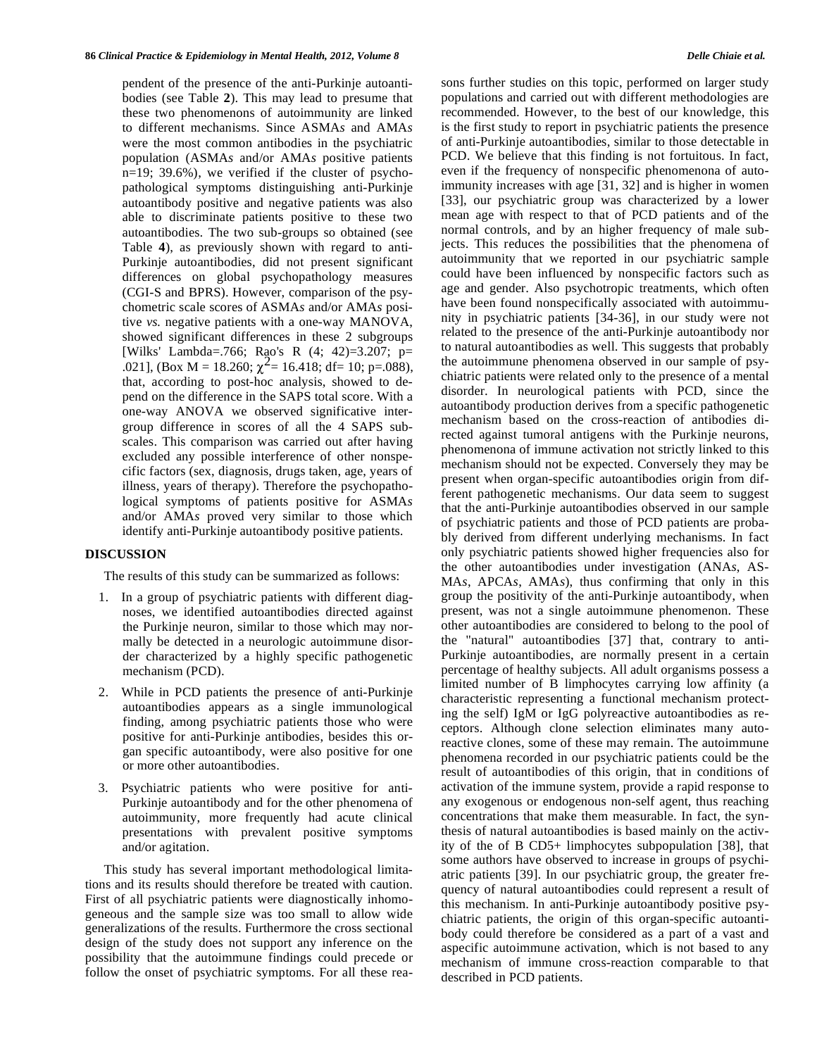pendent of the presence of the anti-Purkinje autoantibodies (see Table **2**). This may lead to presume that these two phenomenons of autoimmunity are linked to different mechanisms. Since ASMA*s* and AMA*s* were the most common antibodies in the psychiatric population (ASMA*s* and/or AMA*s* positive patients n=19; 39.6%), we verified if the cluster of psychopathological symptoms distinguishing anti-Purkinje autoantibody positive and negative patients was also able to discriminate patients positive to these two autoantibodies. The two sub-groups so obtained (see Table **4**), as previously shown with regard to anti-Purkinje autoantibodies, did not present significant differences on global psychopathology measures (CGI-S and BPRS). However, comparison of the psychometric scale scores of ASMA*s* and/or AMA*s* positive *vs.* negative patients with a one-way MANOVA, showed significant differences in these 2 subgroups [Wilks' Lambda=.766; Rao's R (4; 42)=3.207; p=<br>.021], (Box M = 18.260;  $\chi^2$ = 16.418; df= 10; p=.088), that, according to post-hoc analysis, showed to depend on the difference in the SAPS total score. With a one-way ANOVA we observed significative intergroup difference in scores of all the 4 SAPS subscales. This comparison was carried out after having excluded any possible interference of other nonspecific factors (sex, diagnosis, drugs taken, age, years of illness, years of therapy). Therefore the psychopathological symptoms of patients positive for ASMA*s* and/or AMA*s* proved very similar to those which identify anti-Purkinje autoantibody positive patients.

# **DISCUSSION**

The results of this study can be summarized as follows:

- 1. In a group of psychiatric patients with different diagnoses, we identified autoantibodies directed against the Purkinje neuron, similar to those which may normally be detected in a neurologic autoimmune disorder characterized by a highly specific pathogenetic mechanism (PCD).
- 2. While in PCD patients the presence of anti-Purkinje autoantibodies appears as a single immunological finding, among psychiatric patients those who were positive for anti-Purkinje antibodies, besides this organ specific autoantibody, were also positive for one or more other autoantibodies.
- 3. Psychiatric patients who were positive for anti-Purkinje autoantibody and for the other phenomena of autoimmunity, more frequently had acute clinical presentations with prevalent positive symptoms and/or agitation.

This study has several important methodological limitations and its results should therefore be treated with caution. First of all psychiatric patients were diagnostically inhomogeneous and the sample size was too small to allow wide generalizations of the results. Furthermore the cross sectional design of the study does not support any inference on the possibility that the autoimmune findings could precede or follow the onset of psychiatric symptoms. For all these reasons further studies on this topic, performed on larger study populations and carried out with different methodologies are recommended. However, to the best of our knowledge, this is the first study to report in psychiatric patients the presence of anti-Purkinje autoantibodies, similar to those detectable in PCD. We believe that this finding is not fortuitous. In fact, even if the frequency of nonspecific phenomenona of autoimmunity increases with age [31, 32] and is higher in women [33], our psychiatric group was characterized by a lower mean age with respect to that of PCD patients and of the normal controls, and by an higher frequency of male subjects. This reduces the possibilities that the phenomena of autoimmunity that we reported in our psychiatric sample could have been influenced by nonspecific factors such as age and gender. Also psychotropic treatments, which often have been found nonspecifically associated with autoimmunity in psychiatric patients [34-36], in our study were not related to the presence of the anti-Purkinje autoantibody nor to natural autoantibodies as well. This suggests that probably the autoimmune phenomena observed in our sample of psychiatric patients were related only to the presence of a mental disorder. In neurological patients with PCD, since the autoantibody production derives from a specific pathogenetic mechanism based on the cross-reaction of antibodies directed against tumoral antigens with the Purkinje neurons, phenomenona of immune activation not strictly linked to this mechanism should not be expected. Conversely they may be present when organ-specific autoantibodies origin from different pathogenetic mechanisms. Our data seem to suggest that the anti-Purkinje autoantibodies observed in our sample of psychiatric patients and those of PCD patients are probably derived from different underlying mechanisms. In fact only psychiatric patients showed higher frequencies also for the other autoantibodies under investigation (ANA*s*, AS-MA*s*, APCA*s*, AMA*s*), thus confirming that only in this group the positivity of the anti-Purkinje autoantibody, when present, was not a single autoimmune phenomenon. These other autoantibodies are considered to belong to the pool of the "natural" autoantibodies [37] that, contrary to anti-Purkinje autoantibodies, are normally present in a certain percentage of healthy subjects. All adult organisms possess a limited number of B limphocytes carrying low affinity (a characteristic representing a functional mechanism protecting the self) IgM or IgG polyreactive autoantibodies as receptors. Although clone selection eliminates many autoreactive clones, some of these may remain. The autoimmune phenomena recorded in our psychiatric patients could be the result of autoantibodies of this origin, that in conditions of activation of the immune system, provide a rapid response to any exogenous or endogenous non-self agent, thus reaching concentrations that make them measurable. In fact, the synthesis of natural autoantibodies is based mainly on the activity of the of B CD5+ limphocytes subpopulation [38], that some authors have observed to increase in groups of psychiatric patients [39]. In our psychiatric group, the greater frequency of natural autoantibodies could represent a result of this mechanism. In anti-Purkinje autoantibody positive psychiatric patients, the origin of this organ-specific autoantibody could therefore be considered as a part of a vast and aspecific autoimmune activation, which is not based to any mechanism of immune cross-reaction comparable to that described in PCD patients.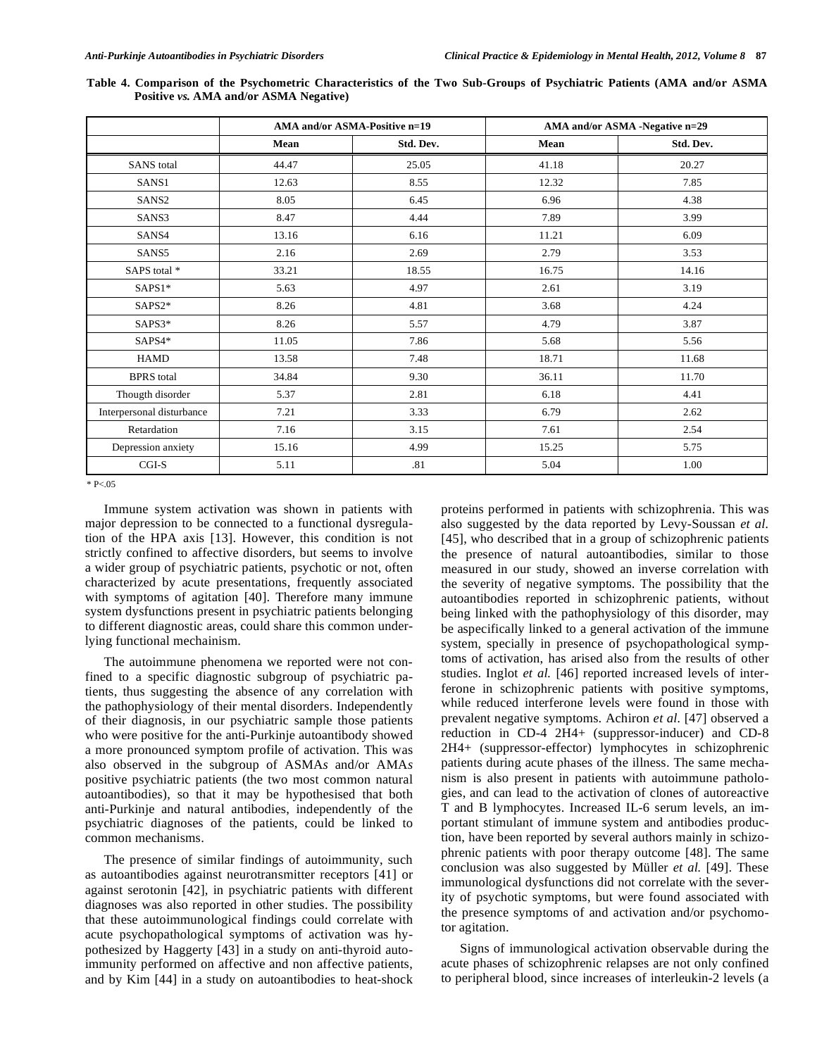| Table 4. Comparison of the Psychometric Characteristics of the Two Sub-Groups of Psychiatric Patients (AMA and/or ASMA |  |  |  |
|------------------------------------------------------------------------------------------------------------------------|--|--|--|
| Positive vs. AMA and/or ASMA Negative)                                                                                 |  |  |  |

|                           |       | AMA and/or ASMA-Positive n=19 | AMA and/or ASMA -Negative n=29 |           |  |  |  |
|---------------------------|-------|-------------------------------|--------------------------------|-----------|--|--|--|
|                           | Mean  | Std. Dev.                     | Mean                           | Std. Dev. |  |  |  |
| <b>SANS</b> total         | 44.47 | 25.05                         | 41.18                          | 20.27     |  |  |  |
| SANS1                     | 12.63 | 8.55                          | 12.32                          | 7.85      |  |  |  |
| SANS <sub>2</sub>         | 8.05  | 6.45                          | 6.96                           | 4.38      |  |  |  |
| SANS3                     | 8.47  | 4.44                          | 7.89                           | 3.99      |  |  |  |
| SANS4                     | 13.16 | 6.16                          | 11.21                          | 6.09      |  |  |  |
| SANS5                     | 2.16  | 2.69                          | 2.79                           | 3.53      |  |  |  |
| SAPS total *              | 33.21 | 18.55                         | 16.75                          | 14.16     |  |  |  |
| SAPS1*                    | 5.63  | 4.97                          | 2.61                           | 3.19      |  |  |  |
| SAPS2*                    | 8.26  | 4.81                          | 3.68                           | 4.24      |  |  |  |
| SAPS3*                    | 8.26  | 5.57                          | 4.79                           | 3.87      |  |  |  |
| SAPS4*                    | 11.05 | 7.86                          | 5.68                           | 5.56      |  |  |  |
| <b>HAMD</b>               | 13.58 | 7.48                          | 18.71                          | 11.68     |  |  |  |
| <b>BPRS</b> total         | 34.84 | 9.30                          | 36.11                          | 11.70     |  |  |  |
| Thougth disorder          | 5.37  | 2.81                          | 6.18                           | 4.41      |  |  |  |
| Interpersonal disturbance | 7.21  | 3.33                          | 6.79                           | 2.62      |  |  |  |
| Retardation               | 7.16  | 3.15                          | 7.61                           | 2.54      |  |  |  |
| Depression anxiety        | 15.16 | 4.99                          | 15.25                          | 5.75      |  |  |  |
| $CGI-S$                   | 5.11  | .81                           | 5.04                           | 1.00      |  |  |  |

\* P<.05

Immune system activation was shown in patients with major depression to be connected to a functional dysregulation of the HPA axis [13]. However, this condition is not strictly confined to affective disorders, but seems to involve a wider group of psychiatric patients, psychotic or not, often characterized by acute presentations, frequently associated with symptoms of agitation [40]. Therefore many immune system dysfunctions present in psychiatric patients belonging to different diagnostic areas, could share this common underlying functional mechainism.

The autoimmune phenomena we reported were not confined to a specific diagnostic subgroup of psychiatric patients, thus suggesting the absence of any correlation with the pathophysiology of their mental disorders. Independently of their diagnosis, in our psychiatric sample those patients who were positive for the anti-Purkinje autoantibody showed a more pronounced symptom profile of activation. This was also observed in the subgroup of ASMA*s* and/or AMA*s* positive psychiatric patients (the two most common natural autoantibodies), so that it may be hypothesised that both anti-Purkinje and natural antibodies, independently of the psychiatric diagnoses of the patients, could be linked to common mechanisms.

The presence of similar findings of autoimmunity, such as autoantibodies against neurotransmitter receptors [41] or against serotonin [42], in psychiatric patients with different diagnoses was also reported in other studies. The possibility that these autoimmunological findings could correlate with acute psychopathological symptoms of activation was hypothesized by Haggerty [43] in a study on anti-thyroid autoimmunity performed on affective and non affective patients, and by Kim [44] in a study on autoantibodies to heat-shock proteins performed in patients with schizophrenia. This was also suggested by the data reported by Levy-Soussan *et al.* [45], who described that in a group of schizophrenic patients the presence of natural autoantibodies, similar to those measured in our study, showed an inverse correlation with the severity of negative symptoms. The possibility that the autoantibodies reported in schizophrenic patients, without being linked with the pathophysiology of this disorder, may be aspecifically linked to a general activation of the immune system, specially in presence of psychopathological symptoms of activation, has arised also from the results of other studies. Inglot *et al.* [46] reported increased levels of interferone in schizophrenic patients with positive symptoms, while reduced interferone levels were found in those with prevalent negative symptoms. Achiron *et al.* [47] observed a reduction in CD-4 2H4+ (suppressor-inducer) and CD-8 2H4+ (suppressor-effector) lymphocytes in schizophrenic patients during acute phases of the illness. The same mechanism is also present in patients with autoimmune pathologies, and can lead to the activation of clones of autoreactive T and B lymphocytes. Increased IL-6 serum levels, an important stimulant of immune system and antibodies production, have been reported by several authors mainly in schizophrenic patients with poor therapy outcome [48]. The same conclusion was also suggested by Müller *et al.* [49]. These immunological dysfunctions did not correlate with the severity of psychotic symptoms, but were found associated with the presence symptoms of and activation and/or psychomotor agitation.

Signs of immunological activation observable during the acute phases of schizophrenic relapses are not only confined to peripheral blood, since increases of interleukin-2 levels (a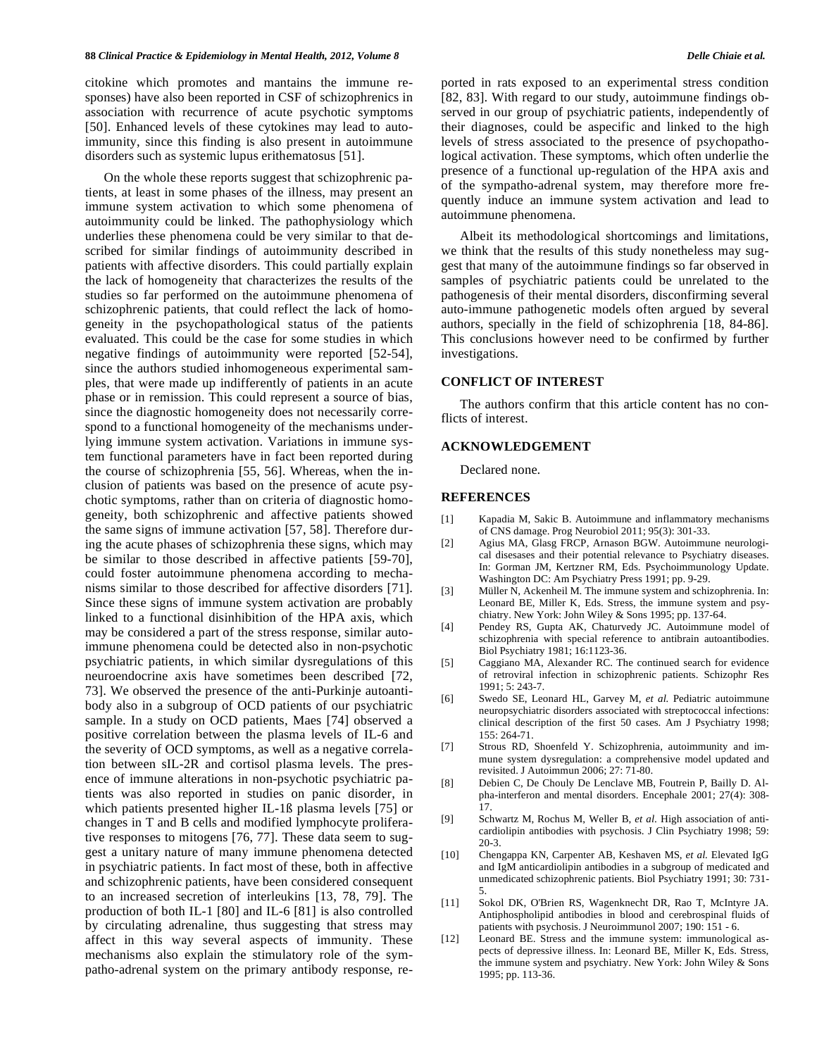citokine which promotes and mantains the immune responses) have also been reported in CSF of schizophrenics in association with recurrence of acute psychotic symptoms [50]. Enhanced levels of these cytokines may lead to autoimmunity, since this finding is also present in autoimmune disorders such as systemic lupus erithematosus [51].

On the whole these reports suggest that schizophrenic patients, at least in some phases of the illness, may present an immune system activation to which some phenomena of autoimmunity could be linked. The pathophysiology which underlies these phenomena could be very similar to that described for similar findings of autoimmunity described in patients with affective disorders. This could partially explain the lack of homogeneity that characterizes the results of the studies so far performed on the autoimmune phenomena of schizophrenic patients, that could reflect the lack of homogeneity in the psychopathological status of the patients evaluated. This could be the case for some studies in which negative findings of autoimmunity were reported [52-54], since the authors studied inhomogeneous experimental samples, that were made up indifferently of patients in an acute phase or in remission. This could represent a source of bias, since the diagnostic homogeneity does not necessarily correspond to a functional homogeneity of the mechanisms underlying immune system activation. Variations in immune system functional parameters have in fact been reported during the course of schizophrenia [55, 56]. Whereas, when the inclusion of patients was based on the presence of acute psychotic symptoms, rather than on criteria of diagnostic homogeneity, both schizophrenic and affective patients showed the same signs of immune activation [57, 58]. Therefore during the acute phases of schizophrenia these signs, which may be similar to those described in affective patients [59-70], could foster autoimmune phenomena according to mechanisms similar to those described for affective disorders [71]. Since these signs of immune system activation are probably linked to a functional disinhibition of the HPA axis, which may be considered a part of the stress response, similar autoimmune phenomena could be detected also in non-psychotic psychiatric patients, in which similar dysregulations of this neuroendocrine axis have sometimes been described [72, 73]. We observed the presence of the anti-Purkinje autoantibody also in a subgroup of OCD patients of our psychiatric sample. In a study on OCD patients, Maes [74] observed a positive correlation between the plasma levels of IL-6 and the severity of OCD symptoms, as well as a negative correlation between sIL-2R and cortisol plasma levels. The presence of immune alterations in non-psychotic psychiatric patients was also reported in studies on panic disorder, in which patients presented higher IL-1ß plasma levels [75] or changes in T and B cells and modified lymphocyte proliferative responses to mitogens [76, 77]. These data seem to suggest a unitary nature of many immune phenomena detected in psychiatric patients. In fact most of these, both in affective and schizophrenic patients, have been considered consequent to an increased secretion of interleukins [13, 78, 79]. The production of both IL-1 [80] and IL-6 [81] is also controlled by circulating adrenaline, thus suggesting that stress may affect in this way several aspects of immunity. These mechanisms also explain the stimulatory role of the sympatho-adrenal system on the primary antibody response, reported in rats exposed to an experimental stress condition [82, 83]. With regard to our study, autoimmune findings observed in our group of psychiatric patients, independently of their diagnoses, could be aspecific and linked to the high levels of stress associated to the presence of psychopathological activation. These symptoms, which often underlie the presence of a functional up-regulation of the HPA axis and of the sympatho-adrenal system, may therefore more frequently induce an immune system activation and lead to autoimmune phenomena.

Albeit its methodological shortcomings and limitations, we think that the results of this study nonetheless may suggest that many of the autoimmune findings so far observed in samples of psychiatric patients could be unrelated to the pathogenesis of their mental disorders, disconfirming several auto-immune pathogenetic models often argued by several authors, specially in the field of schizophrenia [18, 84-86]. This conclusions however need to be confirmed by further investigations.

# **CONFLICT OF INTEREST**

The authors confirm that this article content has no conflicts of interest.

# **ACKNOWLEDGEMENT**

Declared none.

### **REFERENCES**

- [1] Kapadia M, Sakic B. Autoimmune and inflammatory mechanisms of CNS damage. Prog Neurobiol 2011; 95(3): 301-33.
- [2] Agius MA, Glasg FRCP, Arnason BGW. Autoimmune neurological disesases and their potential relevance to Psychiatry diseases. In: Gorman JM, Kertzner RM, Eds. Psychoimmunology Update. Washington DC: Am Psychiatry Press 1991; pp. 9-29.
- [3] Müller N, Ackenheil M. The immune system and schizophrenia. In: Leonard BE, Miller K, Eds. Stress, the immune system and psychiatry. New York: John Wiley & Sons 1995; pp. 137-64.
- [4] Pendey RS, Gupta AK, Chaturvedy JC. Autoimmune model of schizophrenia with special reference to antibrain autoantibodies. Biol Psychiatry 1981; 16:1123-36.
- [5] Caggiano MA, Alexander RC. The continued search for evidence of retroviral infection in schizophrenic patients. Schizophr Res 1991; 5: 243-7.
- [6] Swedo SE, Leonard HL, Garvey M, *et al.* Pediatric autoimmune neuropsychiatric disorders associated with streptococcal infections: clinical description of the first 50 cases. Am J Psychiatry 1998; 155: 264-71.
- [7] Strous RD, Shoenfeld Y. Schizophrenia, autoimmunity and immune system dysregulation: a comprehensive model updated and revisited. J Autoimmun 2006; 27: 71-80.
- [8] Debien C, De Chouly De Lenclave MB, Foutrein P, Bailly D. Alpha-interferon and mental disorders. Encephale 2001; 27(4): 308- 17.
- [9] Schwartz M, Rochus M, Weller B, *et al*. High association of anticardiolipin antibodies with psychosis. J Clin Psychiatry 1998; 59: 20-3.
- [10] Chengappa KN, Carpenter AB, Keshaven MS, *et al.* Elevated IgG and IgM anticardiolipin antibodies in a subgroup of medicated and unmedicated schizophrenic patients. Biol Psychiatry 1991; 30: 731- 5.
- [11] Sokol DK, O'Brien RS, Wagenknecht DR, Rao T, McIntyre JA. Antiphospholipid antibodies in blood and cerebrospinal fluids of patients with psychosis. J Neuroimmunol 2007; 190: 151 - 6.
- [12] Leonard BE. Stress and the immune system: immunological aspects of depressive illness. In: Leonard BE, Miller K, Eds. Stress, the immune system and psychiatry. New York: John Wiley & Sons 1995; pp. 113-36.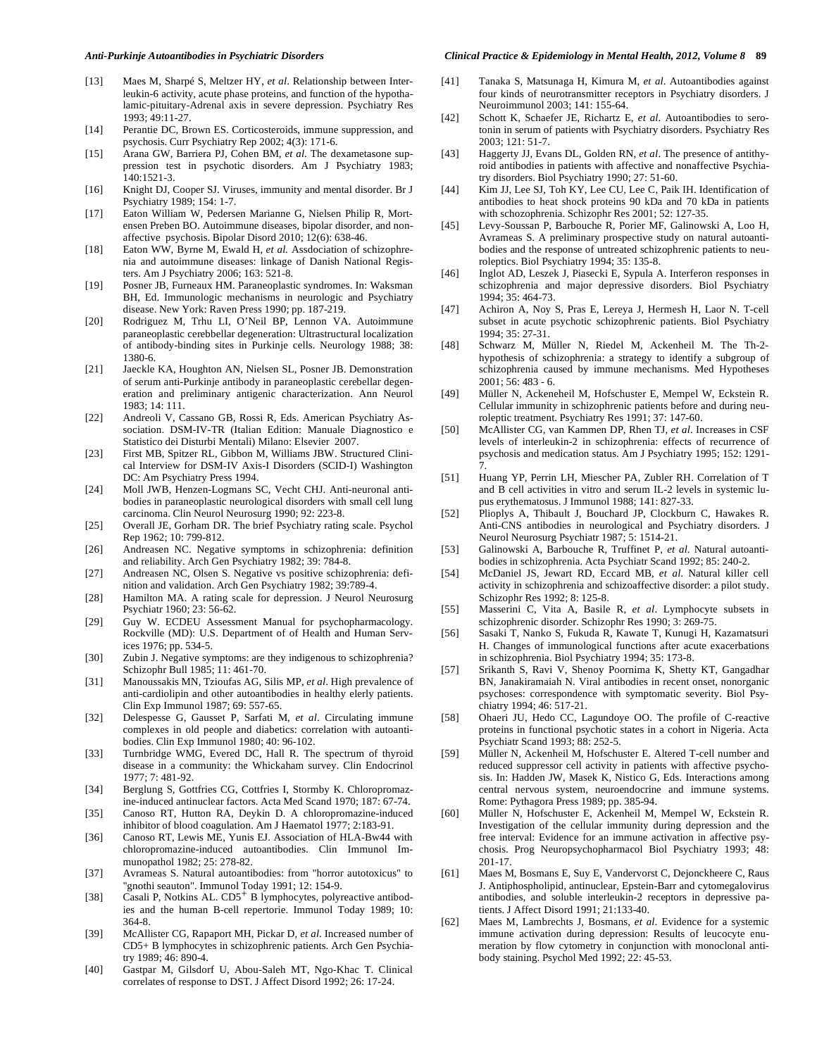#### *Anti-Purkinje Autoantibodies in Psychiatric Disorders Clinical Practice & Epidemiology in Mental Health, 2012, Volume 8* **89**

- [13] Maes M, Sharpé S, Meltzer HY, *et al*. Relationship between Interleukin-6 activity, acute phase proteins, and function of the hypothalamic-pituitary-Adrenal axis in severe depression. Psychiatry Res 1993; 49:11-27.
- [14] Perantie DC, Brown ES. Corticosteroids, immune suppression, and psychosis. Curr Psychiatry Rep 2002; 4(3): 171-6.
- [15] Arana GW, Barriera PJ, Cohen BM, *et al.* The dexametasone suppression test in psychotic disorders. Am J Psychiatry 1983; 140:1521-3.
- [16] Knight DJ, Cooper SJ. Viruses, immunity and mental disorder. Br J Psychiatry 1989; 154: 1-7.
- [17] Eaton William W, Pedersen Marianne G, Nielsen Philip R, Mortensen Preben BO. Autoimmune diseases, bipolar disorder, and nonaffective psychosis. Bipolar Disord 2010; 12(6): 638-46.
- [18] Eaton WW, Byrne M, Ewald H, *et al.* Assdociation of schizophrenia and autoimmune diseases: linkage of Danish National Registers. Am J Psychiatry 2006; 163: 521-8.
- [19] Posner JB, Furneaux HM. Paraneoplastic syndromes. In: Waksman BH, Ed. Immunologic mechanisms in neurologic and Psychiatry disease. New York: Raven Press 1990; pp. 187-219.
- [20] Rodriguez M, Trhu LI, O'Neil BP, Lennon VA. Autoimmune paraneoplastic cerebbellar degeneration: Ultrastructural localization of antibody-binding sites in Purkinje cells. Neurology 1988; 38: 1380-6.
- [21] Jaeckle KA, Houghton AN, Nielsen SL, Posner JB. Demonstration of serum anti-Purkinje antibody in paraneoplastic cerebellar degeneration and preliminary antigenic characterization. Ann Neurol 1983; 14: 111.
- [22] Andreoli V, Cassano GB, Rossi R, Eds. American Psychiatry Association. DSM-IV-TR (Italian Edition: Manuale Diagnostico e Statistico dei Disturbi Mentali) Milano: Elsevier 2007.
- [23] First MB, Spitzer RL, Gibbon M, Williams JBW. Structured Clinical Interview for DSM-IV Axis-I Disorders (SCID-I) Washington DC: Am Psychiatry Press 1994.
- [24] Moll JWB, Henzen-Logmans SC, Vecht CHJ. Anti-neuronal antibodies in paraneoplastic neurological disorders with small cell lung carcinoma. Clin Neurol Neurosurg 1990; 92: 223-8.
- [25] Overall JE, Gorham DR. The brief Psychiatry rating scale. Psychol Rep 1962; 10: 799-812.
- [26] Andreasen NC. Negative symptoms in schizophrenia: definition and reliability. Arch Gen Psychiatry 1982; 39: 784-8.
- [27] Andreasen NC, Olsen S. Negative vs positive schizophrenia: definition and validation. Arch Gen Psychiatry 1982; 39:789-4.
- [28] Hamilton MA. A rating scale for depression. J Neurol Neurosurg Psychiatr 1960; 23: 56-62.
- [29] Guy W. ECDEU Assessment Manual for psychopharmacology. Rockville (MD): U.S. Department of of Health and Human Services 1976; pp. 534-5.
- [30] Zubin J. Negative symptoms: are they indigenous to schizophrenia? Schizophr Bull 1985; 11: 461-70.
- [31] Manoussakis MN, Tzioufas AG, Silis MP, *et al*. High prevalence of anti-cardiolipin and other autoantibodies in healthy elerly patients. Clin Exp Immunol 1987; 69: 557-65.
- [32] Delespesse G, Gausset P, Sarfati M, *et al*. Circulating immune complexes in old people and diabetics: correlation with autoantibodies. Clin Exp Immunol 1980; 40: 96-102.
- [33] Turnbridge WMG, Evered DC, Hall R. The spectrum of thyroid disease in a community: the Whickaham survey. Clin Endocrinol 1977; 7: 481-92.
- [34] Berglung S, Gottfries CG, Cottfries I, Stormby K. Chloropromazine-induced antinuclear factors. Acta Med Scand 1970; 187: 67-74.
- [35] Canoso RT, Hutton RA, Deykin D. A chloropromazine-induced inhibitor of blood coagulation. Am J Haematol 1977; 2:183-91.
- [36] Canoso RT, Lewis ME, Yunis EJ. Association of HLA-Bw44 with chloropromazine-induced autoantibodies. Clin Immunol Immunopathol 1982; 25: 278-82.
- [37] Avrameas S. Natural autoantibodies: from "horror autotoxicus" to "gnothi seauton". Immunol Today 1991; 12: 154-9.
- [38] Casali P, Notkins AL.  $CD5^+$  B lymphocytes, polyreactive antibodies and the human B-cell repertorie. Immunol Today 1989; 10: 364-8.
- [39] McAllister CG, Rapaport MH, Pickar D, *et al*. Increased number of CD5+ B lymphocytes in schizophrenic patients. Arch Gen Psychiatry 1989; 46: 890-4.
- [40] Gastpar M, Gilsdorf U, Abou-Saleh MT, Ngo-Khac T. Clinical correlates of response to DST. J Affect Disord 1992; 26: 17-24.
- [41] Tanaka S, Matsunaga H, Kimura M, *et al*. Autoantibodies against four kinds of neurotransmitter receptors in Psychiatry disorders. J Neuroimmunol 2003; 141: 155-64.
- [42] Schott K, Schaefer JE, Richartz E, *et al*. Autoantibodies to serotonin in serum of patients with Psychiatry disorders. Psychiatry Res 2003; 121: 51-7.
- [43] Haggerty JJ, Evans DL, Golden RN, *et al*. The presence of antithyroid antibodies in patients with affective and nonaffective Psychiatry disorders. Biol Psychiatry 1990; 27: 51-60.
- [44] Kim JJ, Lee SJ, Toh KY, Lee CU, Lee C, Paik IH. Identification of antibodies to heat shock proteins 90 kDa and 70 kDa in patients with schozophrenia. Schizophr Res 2001; 52: 127-35.
- [45] Levy-Soussan P, Barbouche R, Porier MF, Galinowski A, Loo H, Avrameas S. A preliminary prospective study on natural autoantibodies and the response of untreated schizophrenic patients to neuroleptics. Biol Psychiatry 1994; 35: 135-8.
- [46] Inglot AD, Leszek J, Piasecki E, Sypula A. Interferon responses in schizophrenia and major depressive disorders. Biol Psychiatry 1994; 35: 464-73.
- [47] Achiron A, Noy S, Pras E, Lereya J, Hermesh H, Laor N. T-cell subset in acute psychotic schizophrenic patients. Biol Psychiatry 1994; 35: 27-31.
- [48] Schwarz M, Müller N, Riedel M, Ackenheil M. The Th-2 hypothesis of schizophrenia: a strategy to identify a subgroup of schizophrenia caused by immune mechanisms. Med Hypotheses 2001; 56: 483 - 6.
- [49] Müller N, Ackeneheil M, Hofschuster E, Mempel W, Eckstein R. Cellular immunity in schizophrenic patients before and during neuroleptic treatment. Psychiatry Res 1991; 37: 147-60.
- [50] McAllister CG, van Kammen DP, Rhen TJ, *et al*. Increases in CSF levels of interleukin-2 in schizophrenia: effects of recurrence of psychosis and medication status. Am J Psychiatry 1995; 152: 1291- 7.
- [51] Huang YP, Perrin LH, Miescher PA, Zubler RH. Correlation of T and B cell activities in vitro and serum IL-2 levels in systemic lupus erythematosus. J Immunol 1988; 141: 827-33.
- [52] Plioplys A, Thibault J, Bouchard JP, Clockburn C, Hawakes R. Anti-CNS antibodies in neurological and Psychiatry disorders. J Neurol Neurosurg Psychiatr 1987; 5: 1514-21.
- [53] Galinowski A, Barbouche R, Truffinet P, *et al*. Natural autoantibodies in schizophrenia. Acta Psychiatr Scand 1992; 85: 240-2.
- [54] McDaniel JS, Jewart RD, Eccard MB, *et al*. Natural killer cell activity in schizophrenia and schizoaffective disorder: a pilot study. Schizophr Res 1992; 8: 125-8.
- [55] Masserini C, Vita A, Basile R, *et al*. Lymphocyte subsets in schizophrenic disorder. Schizophr Res 1990; 3: 269-75.
- [56] Sasaki T, Nanko S, Fukuda R, Kawate T, Kunugi H, Kazamatsuri H. Changes of immunological functions after acute exacerbations in schizophrenia. Biol Psychiatry 1994; 35: 173-8.
- [57] Srikanth S, Ravi V, Shenoy Poornima K, Shetty KT, Gangadhar BN, Janakiramaiah N. Viral antibodies in recent onset, nonorganic psychoses: correspondence with symptomatic severity. Biol Psychiatry 1994; 46: 517-21.
- [58] Ohaeri JU, Hedo CC, Lagundoye OO. The profile of C-reactive proteins in functional psychotic states in a cohort in Nigeria. Acta Psychiatr Scand 1993; 88: 252-5.
- [59] Müller N, Ackenheil M, Hofschuster E. Altered T-cell number and reduced suppressor cell activity in patients with affective psychosis. In: Hadden JW, Masek K, Nistico G, Eds. Interactions among central nervous system, neuroendocrine and immune systems. Rome: Pythagora Press 1989; pp. 385-94.
- [60] Müller N, Hofschuster E, Ackenheil M, Mempel W, Eckstein R. Investigation of the cellular immunity during depression and the free interval: Evidence for an immune activation in affective psychosis. Prog Neuropsychopharmacol Biol Psychiatry 1993; 48: 201-17.
- [61] Maes M, Bosmans E, Suy E, Vandervorst C, Dejonckheere C, Raus J. Antiphospholipid, antinuclear, Epstein-Barr and cytomegalovirus antibodies, and soluble interleukin-2 receptors in depressive patients. J Affect Disord 1991; 21:133-40.
- [62] Maes M, Lambrechts J, Bosmans, *et al*. Evidence for a systemic immune activation during depression: Results of leucocyte enumeration by flow cytometry in conjunction with monoclonal antibody staining. Psychol Med 1992; 22: 45-53.